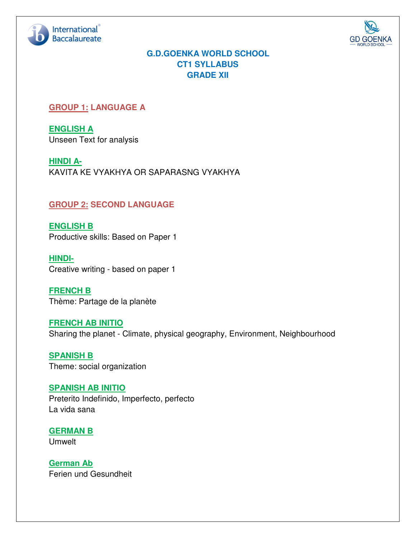



# **G.D.GOENKA WORLD SCHOOL CT1 SYLLABUS GRADE XII**

# **GROUP 1: LANGUAGE A**

**ENGLISH A**  Unseen Text for analysis

**HINDI A-**KAVITA KE VYAKHYA OR SAPARASNG VYAKHYA

# **GROUP 2: SECOND LANGUAGE**

**ENGLISH B**  Productive skills: Based on Paper 1

**HINDI-**Creative writing - based on paper 1

**FRENCH B**  Thème: Partage de la planète

**FRENCH AB INITIO**  Sharing the planet - Climate, physical geography, Environment, Neighbourhood

**SPANISH B**  Theme: social organization

**SPANISH AB INITIO**  Preterito Indefinido, Imperfecto, perfecto La vida sana

**GERMAN B**  Umwelt

**German Ab**  Ferien und Gesundheit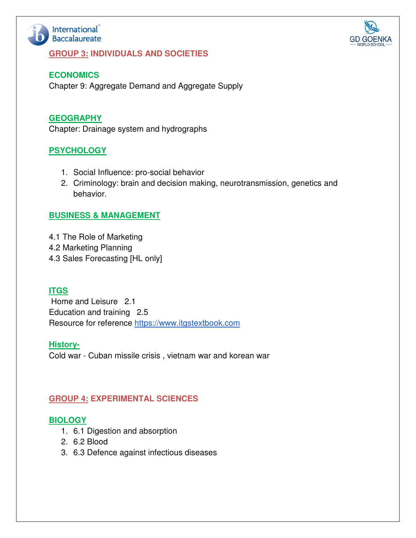

#### **GROUP 3: INDIVIDUALS AND SOCIETIES**



#### **ECONOMICS**

Chapter 9: Aggregate Demand and Aggregate Supply

### **GEOGRAPHY**

Chapter: Drainage system and hydrographs

## **PSYCHOLOGY**

- 1. Social Influence: pro-social behavior
- 2. Criminology: brain and decision making, neurotransmission, genetics and behavior.

### **BUSINESS & MANAGEMENT**

- 4.1 The Role of Marketing
- 4.2 Marketing Planning
- 4.3 Sales Forecasting [HL only]

## **ITGS**

 Home and Leisure 2.1 Education and training 2.5 Resource for reference https://www.itgstextbook.com

#### **History-**

Cold war - Cuban missile crisis , vietnam war and korean war

#### **GROUP 4: EXPERIMENTAL SCIENCES**

#### **BIOLOGY**

- 1. 6.1 Digestion and absorption
- 2. 6.2 Blood
- 3. 6.3 Defence against infectious diseases